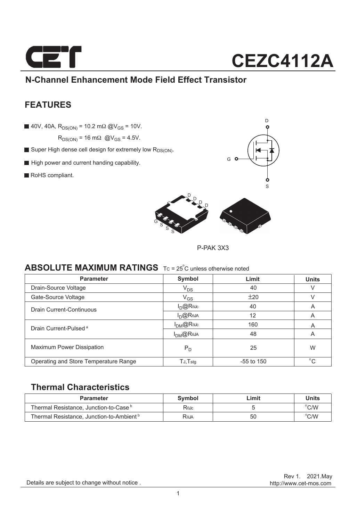

### **N-Channel Enhancement Mode Field Effect Transistor**

### **FEATURES**

40V, 40A,  $R_{DS(ON)} = 10.2$  m $\Omega$  @V<sub>GS</sub> = 10V.

 $R_{DS(ON)}$  = 16 m $\Omega$  @V<sub>GS</sub> = 4.5V.

- Super High dense cell design for extremely low RDS(ON).
- High power and current handing capability.
- RoHS compliant.





P-PAK 3X3

### **ABSOLUTE MAXIMUM RATINGS** Tc = 25°C unless otherwise noted

| <b>Parameter</b>                      | Symbol                     | Limit        | <b>Units</b> |
|---------------------------------------|----------------------------|--------------|--------------|
| Drain-Source Voltage                  | $V_{DS}$                   | 40           |              |
| Gate-Source Voltage                   | $V_{GS}$                   | ±20          |              |
| Drain Current-Continuous              | $I_{D}@R$ $\theta$         | 40           | A            |
|                                       | $I_{D}$ @Reja              | 12           | A            |
| Drain Current-Pulsed <sup>a</sup>     | $I_{DM}$ @ReJc             | 160          | A            |
|                                       | $I_{DM}$ @Reja             | 48           | A            |
| <b>Maximum Power Dissipation</b>      | $P_D$                      | 25           | W            |
| Operating and Store Temperature Range | $T_{J}$ , $T_{\text{stq}}$ | $-55$ to 150 | $^{\circ}C$  |

### **Thermal Characteristics**

| Parameter                                            | Symbol | _imit | Units         |
|------------------------------------------------------|--------|-------|---------------|
| Thermal Resistance, Junction-to-Case <sup>b</sup>    | RθJc   |       | $\degree$ C/W |
| Thermal Resistance, Junction-to-Ambient <sup>b</sup> | Raja   | 50    | $\degree$ C/W |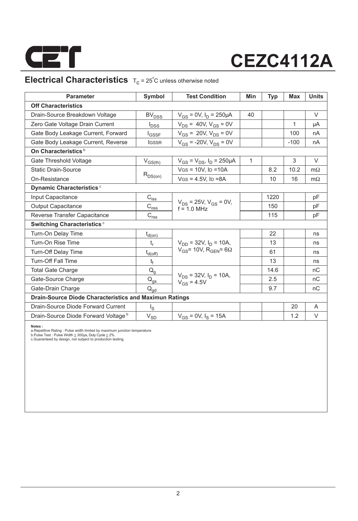

### **Electrical Characteristics**  $T_c = 25^\circ C$  unless otherwise noted

| <b>Parameter</b>                                              | Symbol                                           | <b>Test Condition</b>                           | Min          | <b>Typ</b> | Max    | <b>Units</b> |
|---------------------------------------------------------------|--------------------------------------------------|-------------------------------------------------|--------------|------------|--------|--------------|
| <b>Off Characteristics</b>                                    |                                                  |                                                 |              |            |        |              |
| Drain-Source Breakdown Voltage                                | <b>BV<sub>DSS</sub></b>                          | $V_{GS} = 0V$ , $I_D = 250 \mu A$               | 40           |            |        | $\vee$       |
| Zero Gate Voltage Drain Current                               | $I_{\text{DSS}}$                                 | $V_{DS}$ = 40V, $V_{GS}$ = 0V                   |              |            | 1      | μA           |
| Gate Body Leakage Current, Forward                            | $I_{GSSF}$                                       | $V_{GS}$ = 20V, $V_{DS}$ = 0V                   |              |            | 100    | nA           |
| Gate Body Leakage Current, Reverse                            | <b>IGSSR</b>                                     | $V_{GS}$ = -20V, $V_{DS}$ = 0V                  |              |            | $-100$ | nA           |
| On Characteristics <sup>b</sup>                               |                                                  |                                                 |              |            |        |              |
| Gate Threshold Voltage                                        | $V_{GS(th)}$                                     | $V_{GS} = V_{DS}$ , $I_D = 250 \mu A$           | $\mathbf{1}$ |            | 3      | $\vee$       |
| <b>Static Drain-Source</b>                                    |                                                  | $V$ GS = 10V, ID = 10A                          |              | 8.2        | 10.2   | $m\Omega$    |
| On-Resistance                                                 | $R_{DS(on)}$                                     | $VGS = 4.5V$ , $I_D = 8A$                       |              | 10         | 16     | $m\Omega$    |
| Dynamic Characteristics <sup>c</sup>                          |                                                  |                                                 |              |            |        |              |
| Input Capacitance                                             | $C_{\text{iss}}$                                 |                                                 |              | 1220       |        | pF           |
| <b>Output Capacitance</b>                                     | $\text{C}_{\text{oss}}$                          | $V_{DS}$ = 25V, $V_{GS}$ = 0V,<br>$f = 10$ MHz  |              | 150        |        | рF           |
| Reverse Transfer Capacitance                                  | $\mathsf{C}_{\mathsf{r}\underline{\mathsf{ss}}}$ |                                                 |              | 115        |        | рF           |
| <b>Switching Characteristics °</b>                            |                                                  |                                                 |              |            |        |              |
| Turn-On Delay Time                                            | $t_{d(0n)}$                                      |                                                 |              | 22         |        | ns           |
| Turn-On Rise Time                                             | t,                                               | $V_{DD}$ = 32V, $I_D$ = 10A,                    |              | 13         |        | ns           |
| Turn-Off Delay Time                                           | $t_{d(\text{off})}$                              | $V_{GS}$ = 10V, R <sub>GEN</sub> = 6 $\Omega$   |              | 61         |        | ns           |
| <b>Turn-Off Fall Time</b>                                     | $t_f$                                            |                                                 |              | 13         |        | ns           |
| <b>Total Gate Charge</b>                                      | $\mathsf{Q}_{\mathsf{g}}$                        |                                                 |              | 14.6       |        | nC           |
| Gate-Source Charge                                            | $\mathsf{Q}_{\underline{\mathsf{gs}}}$           | $V_{DS}$ = 32V, $I_D$ = 10A,<br>$V_{GS} = 4.5V$ |              | 2.5        |        | nC           |
| Gate-Drain Charge                                             | $\mathsf{Q}_{\mathsf{gd}}$                       |                                                 |              | 9.7        |        | nC           |
| <b>Drain-Source Diode Characteristics and Maximun Ratings</b> |                                                  |                                                 |              |            |        |              |
| Drain-Source Diode Forward Current                            | $I_{\rm S}$                                      |                                                 |              |            | 20     | A            |
| Drain-Source Diode Forward Voltage b                          | $V_{SD}$                                         | $V_{GS}$ = 0V, $I_S$ = 15A                      |              |            | 1.2    | V            |

**Notes :**<br>a.Repetitive Rating : Pulse width limited by maximum junction temperature<br>b.Pulse Test : Pulse Width ≤ 300µs, Duty Cycle ≤ 2%.<br>c.Guaranteed by design, not subject to production testing.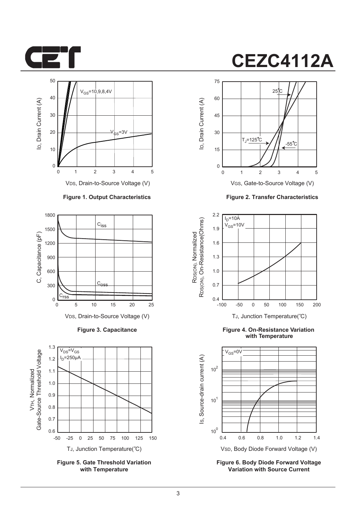



VDS, Drain-to-Source Voltage (V)

#### **Figure 1. Output Characteristics**



**Figure 3. Capacitance**



**Figure 5. Gate Threshold Variation with Temperature**



VGS, Gate-to-Source Voltage (V)

**Figure 2. Transfer Characteristics**



**Figure 4. On-Resistance Variation with Temperature**



**Figure 6. Body Diode Forward Voltage Variation with Source Current**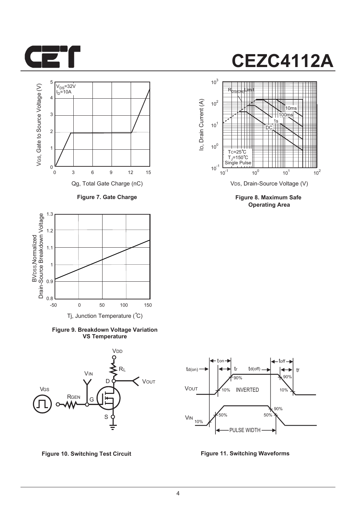



**Figure 7. Gate Charge**



**Figure 9. Breakdown Voltage Variation VS Temperature**





**Figure 8. Maximum Safe Operating Area**



**Figure 10. Switching Test Circuit Figure 11. Switching Waveforms**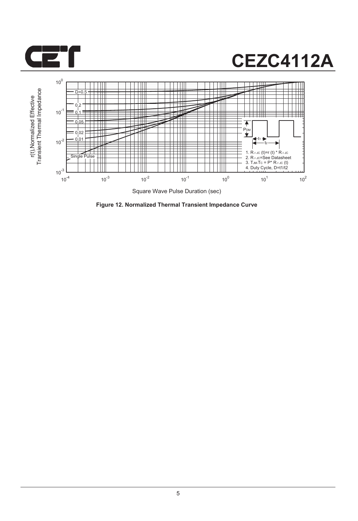



**Figure 12. Normalized Thermal Transient Impedance Curve**